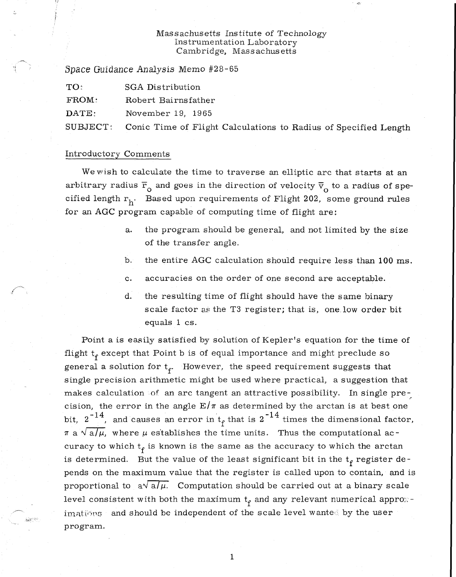# Massachusetts Institute of Technology Instrumentation Laboratory Cambridge, Massachusetts

*Space* Guidance *Analysis* Memo #28-65

| TO:              | <b>SGA Distribution</b> |
|------------------|-------------------------|
| FROM:            | Robert Bairnsfather     |
| $\texttt{DATE:}$ | November 19, 1965       |

SUBJECT: Conic Time of Flight Calculations to Radius of Specified Length

# Introductory Comments

We wish to calculate the time to traverse an elliptic arc that starts at an arbitrary radius  $\overline{\mathrm{r}}_{_{\mathrm{O}}}$  and goes in the direction of velocity  $\overline{\mathrm{v}}_{_{\mathrm{O}}}$  to a radius of specified length  $r_h$ . Based upon requirements of Flight 202, some ground rules for an AGC program capable of computing time of flight are:

- a. the program should be general, and not limited by the size of the transfer angle.
- b. the entire AGC calculation should require less than 100 ms.
- c. accuracies on the order of one second are acceptable.
- d. the resulting time of flight should have the same binary scale factor as the T3 register; that is, one low order bit equals 1 cs.

Point a is easily satisfied by solution of Kepler's equation for the time of flight  $t_f$  except that Point b is of equal importance and might preclude so general a solution for  $t_f$ . However, the speed requirement suggests that single precision arithmetic might be used where practical, a suggestion that makes calculation of an arc tangent an attractive possibility. In single precision, the error in the angle  $E/\pi$  as determined by the arctan is at best one bit,  $2^{-14}$ , and causes an error in  $t_f$  that is  $2^{-14}$  times the dimensional factor,  $\pi$  a  $\sqrt{a/\mu}$ , where  $\mu$  establishes the time units. Thus the computational accuracy to which  $t_f$  is known is the same as the accuracy to which the arctan is determined. But the value of the least significant bit in the  $t_f$  register depends on the maximum value that the register is called upon to contain, and is proportional to  $a\sqrt{a/\mu}$ . Computation should be carried out at a binary scale level consistent with both the maximum  $t_f$  and any relevant numerical approximations and should be independent of the scale level wanted by the user program.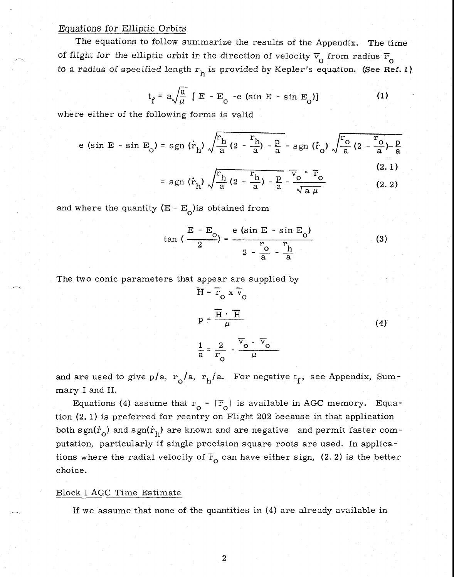## Equations for Elliptic Orbits

The equations to follow summarize the results of the Appendix. The time of flight for the elliptic orbit in the direction of velocity  $\overline{v}_0$  from radius  $\overline{r}_0$ to a radius of specified length  $r_h$  is provided by Kepler's equation. (See Ref. 1)

$$
t_f = a \sqrt{\frac{a}{\mu}} [E - E_o - e (\sin E - \sin E_o)] \qquad (1)
$$

where either of the following forms is valid

e (sin E - sin E<sub>o</sub>) = sgn (
$$
\dot{r}_h
$$
)  $\sqrt{\frac{r_h}{a} (2 - \frac{r_h}{a}) - \frac{p}{a}}$  - sgn ( $\dot{r}_o$ )  $\sqrt{\frac{r_o}{a} (2 - \frac{r_o}{a}) - \frac{p}{a}}$ 

$$
= sgn \left( \dot{r}_h \right) \sqrt{\frac{r_h}{a} \left( 2 - \frac{r_h}{a} \right) - \frac{p}{a}} - \frac{\overline{v}_o \cdot \overline{r}_o}{\sqrt{a \mu}}
$$
(2.1)

and where the quantity ( $E - E_0$ ) is obtained from

$$
\tan\left(\frac{E - E_o}{2}\right) = \frac{e \left(\sin E - \sin E_o\right)}{2 - \frac{r_o}{a} - \frac{r_h}{a}}
$$
(3)

The two conic parameters that appear are supplied by

$$
\overline{H} = \overline{r}_0 \times \overline{v}_0
$$
\n
$$
p = \frac{\overline{H} \cdot \overline{H}}{\mu}
$$
\n(4)\n
$$
\frac{1}{a} = \frac{2}{r_0} - \frac{\overline{v}_0 \cdot \overline{v}_0}{\mu}
$$

and are used to give p/a,  $r_0/a$ ,  $r_h/a$ . For negative  $t_f$ , see Appendix, Summary I and IL

Equations (4) assume that  $r_0 = |\overline{r}_0|$  is available in AGC memory. Equation (2. 1) is preferred for reentry on Flight 202 because in that application both sgn( $\dot{r}_{0}$ ) and sgn( $\dot{r}_{h}$ ) are known and are negative and permit faster computation, particularly if single precision square roots are used. In applications where the radial velocity of  $\overline{r}_{0}$  can have either sign, (2. 2) is the better choice.

# Block I AGC Time Estimate

If we assume that none of the quantities in (4) are already available in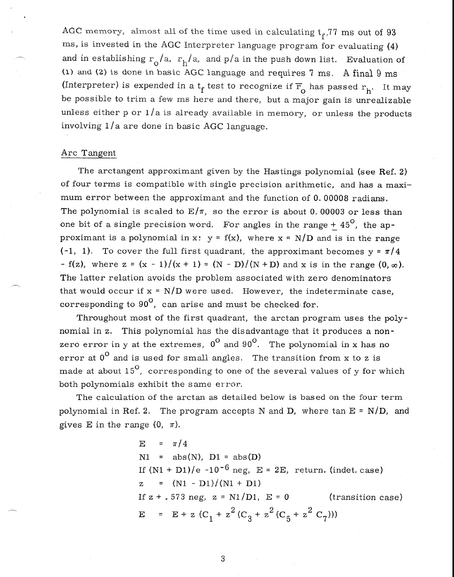AGC memory, almost all of the time used in calculating  $t_f$ ,77 ms out of 93 ms, is invested in the AGC Interpreter language program for evaluating (4) and in establishing  $r_o/a$ ,  $r_h/a$ , and p/a in the push down list. Evaluation of (1) and (2) is done in basic AGC language and requires '7 ms. A final 9 ms (Interpreter) is expended in a  $t_f$  test to recognize if  $\overline{r}_{o}$  has passed  $r_h$ . It may be possible to trim a few ms here and there, but a major gain is unrealizable unless either  $p$  or  $1/a$  is already available in memory, or unless the products involving 1/a are done in basic AGC language.

# Arc Tangent

The arctangent approximant given by the Hastings polynomial (see Ref. 2) of four terms is compatible with single precision arithmetic, and has a maximum error between the approximant and the function of 0. 00008 radians, The polynomial is scaled to  $E/\pi$ , so the error is about 0.00003 or less than one bit of a single precision word. For angles in the range  $+45^{\circ}$ , the approximant is a polynomial in x:  $y = f(x)$ , where  $x = N/D$  and is in the range  $(-1, 1)$ . To cover the full first quadrant, the approximant becomes  $y = \pi/4$ - f(z), where  $z = (x - 1)/(x + 1) = (N - D)/(N + D)$  and x is in the range  $(0, \infty)$ . The latter relation avoids the problem associated with zero denominators that would occur if  $x = N/D$  were used. However, the indeterminate case, corresponding to  $90^\circ$ , can arise and must be checked for.

Throughout most of the first quadrant, the arctan program uses the polynomial in z. This polynomial has the disadvantage that it produces a nonzero error in y at the extremes,  $0^{\circ}$  and  $90^{\circ}$ . The polynomial in x has no error at  $0^{\circ}$  and is used for small angles. The transition from x to z is made at about  $15^{\circ}$ , corresponding to one of the several values of y for which both polynomials exhibit the same error.

The calculation of the arctan as detailed below is based on the four term polynomial in Ref. 2. The program accepts N and D, where  $\tan E = N/D$ , and gives E in the range  $(0, \pi)$ .

> $E = \pi/4$  $N1 = abs(N), D1 = abs(D)$ If  $(N1 + D1)/e$  -10<sup>-6</sup> neg, E = 2E, return. (indet. case)  $Z = (N1 - D1)/(N1 + D1)$ If  $z + .573$  neg,  $z = N1/D1$ ,  $E = 0$  (transition case)  $E = E + z (C_1 + z^2 (C_3 + z^2 (C_5 + z^2 C_7)))$

> > 3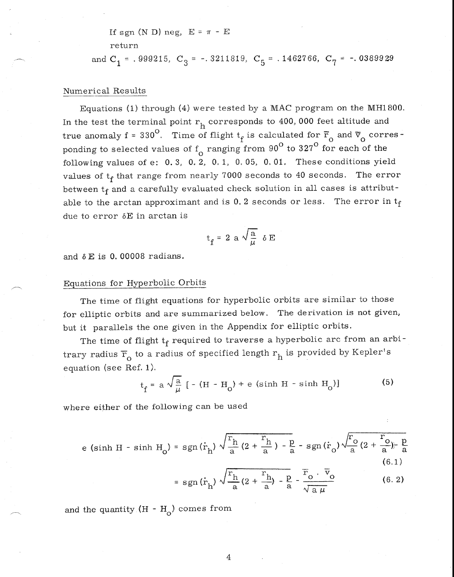If sgn (N D) neg,  $E = \pi - E$ 

return

and  $C_1$  = .999215,  $C_3$  = -.3211819,  $C_5$  = .1462766,  $C_7$  = -.0389929

# Numerical Results

Equations (1) through (4) were tested by a MAC program on the MH1800. In the test the terminal point  $r<sub>h</sub>$  corresponds to 400, 000 feet altitude and true anomaly f = 330<sup>°</sup>. Time of flight  $t_f$  is calculated for  $\overline{r}_0$  and  $\overline{v}_0$  corresponding to selected values of  $f_0$  ranging from 90<sup>°</sup> to 327<sup>°</sup> for each of the following values of e: 0. 3, 0. 2, 0, 1, 0, 05, 0, 01. These conditions yield values of  $t_f$  that range from nearly 7000 seconds to 40 seconds. The error between  $t_f$  and a carefully evaluated check solution in all cases is attributable to the arctan approximant and is  $0.2$  seconds or less. The error in  $t_f$ due to error 6E in arctan is

$$
t_f = 2 a \sqrt{\frac{a}{\mu}} \delta E
$$

and *6* E is 0. 00008 radians.

#### Equations for Hyperbolic Orbits

The time of flight equations for hyperbolic orbits are similar to those for elliptic orbits and are summarized below. The derivation is not given, but it parallels the one given in the Appendix for elliptic orbits.

The time of flight  $t_f$  required to traverse a hyperbolic arc from an arbitrary radius  $\overline{r}_{o}$  to a radius of specified length  $r_{h}$  is provided by Kepler's equation (see Ref. 1).

$$
t_f = a \sqrt{\frac{a}{\mu}} [- (H - H_0) + e (\sinh H - \sinh H_0)]
$$
 (5)

where either of the following can be used

e (sinh H - sinh H<sub>o</sub>) = sgn(
$$
\dot{r}_h
$$
)  $\sqrt{\frac{r_h}{a} (2 + \frac{r_h}{a}) - \frac{p}{a}}$  - sgn( $\dot{r}_o$ )  $\sqrt{\frac{r_o}{a} (2 + \frac{r_o}{a}) - \frac{p}{a}}$  (6.1)

$$
= sgn(\dot{r}_h) \sqrt{\frac{r_h}{a} (2 + \frac{r_h}{a}) - \frac{p}{a}} - \frac{\overline{r}_0 \cdot \overline{v}_0}{\sqrt{a \mu}}
$$
(6.1)

and the quantity  $(H - H_0)$  comes from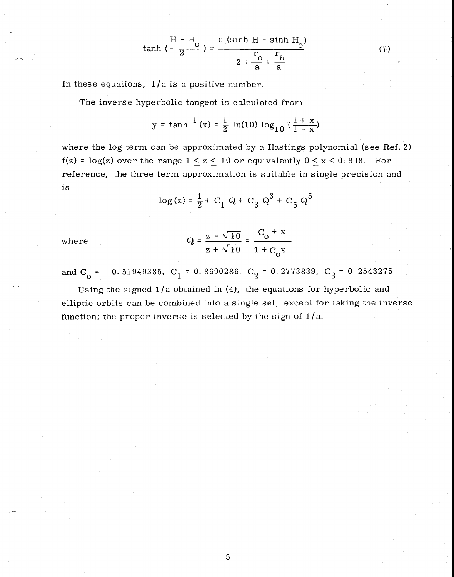$$
\tanh\left(\frac{H-H_o}{2}\right) = \frac{e\left(\sinh H - \sinh H_o\right)}{2 + \frac{r_o}{a} + \frac{r_h}{a}}
$$
 (7)

In these equations,  $1/a$  is a positive number.

The inverse hyperbolic tangent is calculated from

y = tanh<sup>-1</sup> (x) = 
$$
\frac{1}{2}
$$
 ln(10) log<sub>10</sub> ( $\frac{1 + x}{1 - x}$ )

where the log term can be approximated by a Hastings polynomial (see Ref. 2)  $f(z) = \log(z)$  over the range  $1 < z < 10$  or equivalently  $0 < x < 0.818$ . For reference, the three term approximation is suitable in single precision and is

$$
\log(z) = \frac{1}{2} + C_1 \text{ Q} + C_3 \text{ Q}^3 + C_5 \text{ Q}^5
$$

where 
$$
Q = \frac{z - \sqrt{10}}{z + \sqrt{10}} = \frac{C_0 + x}{1 + C_0 x}
$$

and  $C_0 = -0.51949385$ ,  $C_1 = 0.8690286$ ,  $C_2 = 0.2773839$ ,  $C_3 = 0.2543275$ .

Using the signed  $1/a$  obtained in (4), the equations for hyperbolic and elliptic orbits can be combined into a single set, except for taking the inverse function; the proper inverse is selected by the sign of  $1/a$ .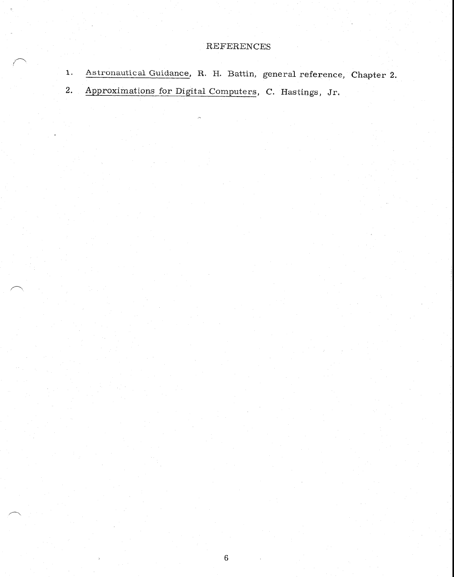# REFERENCES

1. Astronautical Guidance, R. H. Battin, general reference, Chapter 2. 2. Approximations for Digital Computers, C. Hastings, Jr.

6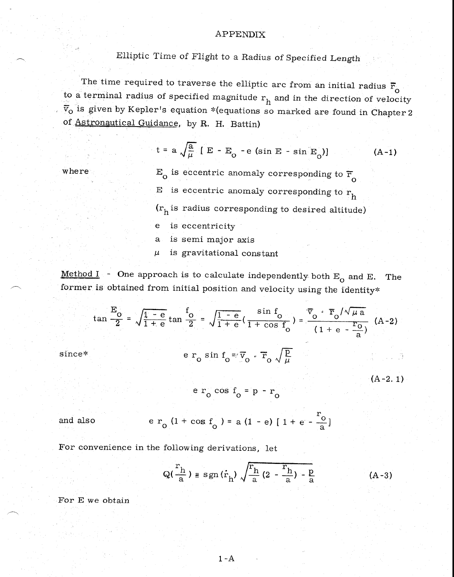# APPENDIX

Elliptic Time of Flight to a Radius of Specified Length

The time required to traverse the elliptic arc from an initial radius  $\bar{r}_{0}$ to a terminal radius of specified magnitude  $r_h$  and in the direction of velocity  $\bar{v}_{0}$  is given by Kepler's equation \*(equations so marked are found in Chapter 2 of Astronautical Guidance, by R. H. Battin)

t = a 
$$
\sqrt{\frac{a}{\mu}}
$$
 [ E - E<sub>o</sub> - e (sin E - sin E<sub>o</sub>)] (A-1)

where

 $E_0$  is eccentric anomaly corresponding to  $\overline{F}_0$ E is eccentric anomaly corresponding to  $r_h$  $(r_h$  is radius corresponding to desired altitude)  $\mathbf{e}$ is eccentricity  $a<sub>1</sub>$ is semi major axis is gravitational constant  $\mu$ 

Method I - One approach is to calculate independently both  $E_0$  and E. The former is obtained from initial position and velocity using the identity\*

$$
\tan \frac{E_O}{2} = \sqrt{\frac{1 - e}{1 + e}} \tan \frac{f_O}{2} = \sqrt{\frac{1 - e}{1 + e}} \left( \frac{\sin f_O}{1 + \cos f_O} \right) = \frac{\overline{v}_O \cdot \overline{r}_O / \sqrt{\mu a}}{(1 + e - \frac{r_O}{a})} \quad \text{(A-2)}
$$
\n
$$
\text{since*} \quad e \, r_O \sin f_O = \overline{v}_O \cdot \overline{r}_O \sqrt{\frac{p}{\mu}} \tag{A-2.1}
$$

$$
e r_0 \cos f_0 = p - r_0
$$

and also

$$
e r_0 (1 + \cos f_0) = a (1 - e) [1 + e - \frac{r_0}{a}]
$$

For convenience in the following derivations, let

$$
Q(\frac{r_h}{a}) \equiv sgn(\dot{r}_h) \sqrt{\frac{r_h}{a} (2 - \frac{r_h}{a}) - \frac{p}{a}}
$$
 (A-3)

For E we obtain

1 - A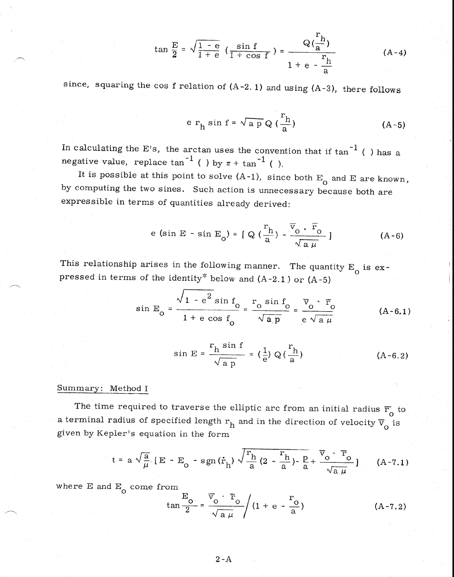$$
\tan \frac{E}{2} = \sqrt{\frac{1 - e}{1 + e}} \left( \frac{\sin f}{1 + \cos f} \right) = \frac{Q(\frac{r_h}{a})}{1 + e - \frac{r_h}{a}}
$$
 (A-4)

since, squaring the cos f relation of  $(A-2. 1)$  and using  $(A-3)$ , there follows

$$
e r_h \sin f = \sqrt{ap} Q \left(\frac{r_h}{a}\right) \tag{A-5}
$$

In calculating the E's, the arctan uses the convention that if  $\tan^{-1}$  ( ) has a negative value, replace tan<sup>-1</sup> ( ) by  $\pi$  + tan<sup>-1</sup> ( ).

It is possible at this point to solve  $(A-1)$ , since both  $E_0$  and E are known, by computing the two sines. Such action is unnecessary because both are expressible in terms of quantities already derived:

e (sin E - sin E<sub>o</sub>) = 
$$
[ Q(\frac{r_h}{a}) - \frac{\overline{v}_o \cdot \overline{r}_o}{\sqrt{a \mu}} ]
$$
 (A-6)

This relationship arises in the following manner. The quantity  $E_{\overline{O}}$  is expressed in terms of the identity<sup>\*</sup> below and  $(A-2.1)$  or  $(A-5)$ 

$$
\sin E_{\text{O}} = \frac{\sqrt{1 - e^2 \sin f_{\text{O}}}}{1 + e \cos f_{\text{O}}} = \frac{r_{\text{O}} \sin f_{\text{O}}}{\sqrt{a \, p}} = \frac{\overline{v}_{\text{O}} \cdot \overline{r}_{\text{O}}}{e \sqrt{a \, \mu}}
$$
 (A-6.1)

$$
\sin E = \frac{r_h \sin f}{\sqrt{ap}} = \left(\frac{1}{e}\right) Q\left(\frac{r_h}{a}\right) \tag{A-6.2}
$$

# Summary: Method I

The time required to traverse the elliptic arc from an initial radius  $\overline{r}_{0}$  to a terminal radius of specified length  $r_h$  and in the direction of velocity  $\overline{v}_0$  is given by Kepler's equation in the form

$$
t = a \sqrt{\frac{a}{\mu}} [E - E_0 - sgn(\dot{r}_h) \sqrt{\frac{r_h}{a} (2 - \frac{r_h}{a}) - \frac{p}{a}} + \frac{\overline{v}_0 \cdot \overline{r}_0}{\sqrt{a \mu}}]
$$
 (A-7.1)

where E and  $E_{\overline{0}}$  come from

$$
\tan\frac{E_{o}}{2} = \frac{\overline{v}_{o} \cdot \overline{r}_{o}}{\sqrt{a \mu}} \left(1 + e - \frac{r_{o}}{a}\right) \tag{A-7.2}
$$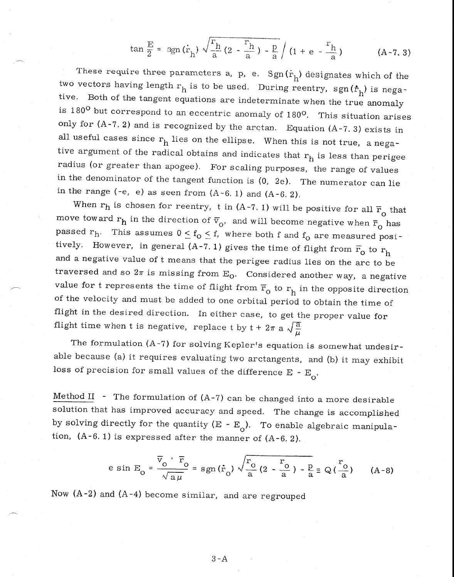$$
\tan \frac{E}{2} = \text{sgn}(\dot{r}_h) \sqrt{\frac{r_h}{a} (2 - \frac{r_h}{a}) - \frac{p}{a}} \bigg( 1 + e - \frac{r_h}{a} \bigg) \tag{A-7.3}
$$

These require three parameters a, p, e.  $Sgn(\dot{r}_h)$  designates which of the two vectors having length  $r_h$  is to be used. During reentry, sgn $(f_h)$  is negative. Both of the tangent equations are indeterminate when the true anomaly is  $180^{\circ}$  but correspond to an eccentric anomaly of  $180^{\circ}$ . This situation arises only for  $(A-7, 2)$  and is recognized by the arctan. Equation  $(A-7, 3)$  exists in all useful cases since  $r_h$  lies on the ellipse. When this is not true, a negative argument of the radical obtains and indicates that  $r_h$  is less than perigee radius (or greater than apogee). For scaling purposes, the range of values in the denominator of the tangent function is (0, 2e). The numerator can lie in the range (-e, e) as seen from  $(A-6. 1)$  and  $(A-6. 2)$ .

When  $r_h$  is chosen for reentry, t in (A-7.1) will be positive for all  $\bar{r}_0$  that move toward  $r_h$  in the direction of  $\overline{v}_0$ , and will become negative when  $\overline{r}_0$  has passed  $r_h$ . This assumes  $0 \le f_o \le f$ , where both f and  $f_o$  are measured positively. However, in general (A-7.1) gives the time of flight from  $\bar{r}_0$  to  $r_h$  and a negative value of t means that the perigee radius lies on the arc to be traversed and so  $2\pi$  is missing from  $E_0$ . Considered another way, a negative value for t represents the time of flight from  $\bar{r}_0$  to  $r_h$  in the opposite direction of the velocity and must be added to one orbital period to obtain the time of flight in the desired direction. In either case, to get the proper value for flight time when t is negative, replace t by  $t + 2\pi a \sqrt{\frac{a}{\mu}}$ 

The formulation (A-7) for solving Kepler's equation is somewhat undesirable because (a) it requires evaluating two arctangents, and (b) it may exhibit loss of precision for small values of the difference  $E - E_0$ .

Method II - The formulation of  $(A-7)$  can be changed into a more desirable solution that has improved accuracy and speed. The change is accomplished by solving directly for the quantity  $(E - E_0)$ . To enable algebraic manipulation,  $(A-6. 1)$  is expressed after the manner of  $(A-6. 2)$ .

$$
e \sin E_{O} = \frac{\overline{v}_{O} \cdot \overline{r}_{O}}{\sqrt{a \mu}} = sgn(\dot{r}_{O}) \sqrt{\frac{r_{O}}{a} (2 - \frac{r_{O}}{a}) - \frac{p}{a}} \equiv Q(\frac{r_{O}}{a}) \qquad (A-8)
$$

Now (A-2) and (A-4) become similar, and are regrouped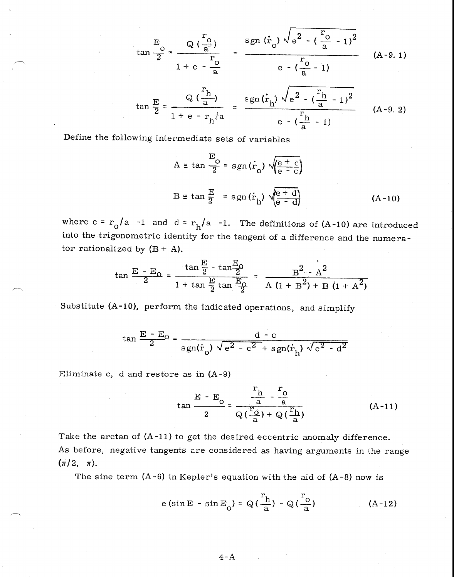$$
\tan \frac{E}{2} = \frac{Q(\frac{r_0}{a})}{1 + e - \frac{r_0}{a}} = \frac{\text{sgn} (r_0) \sqrt{e^2 - (\frac{r_0}{a} - 1)^2}}{e - (\frac{r_0}{a} - 1)}
$$
(A-9.1)

$$
\tan \frac{E}{2} = \frac{Q(\frac{r_h}{a})}{1 + e - r_h^{2}a} = \frac{\operatorname{sgn}(\dot{r}_h) \sqrt{e^2 - (\frac{r_h}{a} - 1)^2}}{e - (\frac{r_h}{a} - 1)}
$$
 (A-9.2)

Define the following intermediate sets of variables

$$
A \equiv \tan \frac{E}{2} = sgn(\dot{r}_o) \sqrt{\frac{e + c}{e - c}}
$$
  

$$
B \equiv \tan \frac{E}{2} = sgn(\dot{r}_h) \sqrt{\frac{e + d}{e - d}}
$$
(A-10)

where  $c = r_0 / a$  -1 and  $d = r_h / a$  -1. The definitions of (A-10) are introduced into the trigonometric identity for the tangent of a difference and the numerator rationalized by  $(B + A)$ .

$$
\tan \frac{E - E_O}{2} = \frac{\tan \frac{E}{2} - \tan \frac{E_O}{2}}{1 + \tan \frac{E}{2} \tan \frac{E_O}{2}} = \frac{B^2 - A^2}{A(1 + B^2) + B(1 + A^2)}
$$

Substitute (A-10), perform the indicated operations, and simplify

$$
\tan \frac{E - E_0}{2} = \frac{d - c}{sgn(\dot{r}_0) \sqrt{e^2 - c^2} + sgn(\dot{r}_h) \sqrt{e^2 - d^2}}
$$

Eliminate c, d and restore as in  $(A-9)$ 

$$
\tan \frac{E - E_0}{2} = \frac{\frac{r_h}{a} - \frac{r_o}{a}}{Q(\frac{r_o}{a}) + Q(\frac{r_h}{a})}
$$
 (A-11)

Take the arctan of (A-11) to get the desired eccentric anomaly difference. As before, negative tangents are considered as having arguments in the range  $(\pi/2, \pi)$ .

The sine term  $(A-6)$  in Kepler's equation with the aid of  $(A-8)$  now is

$$
e\left(\sin E - \sin E_{o}\right) = Q\left(\frac{r_{h}}{a}\right) - Q\left(\frac{r_{o}}{a}\right) \tag{A-12}
$$

 $4 - A$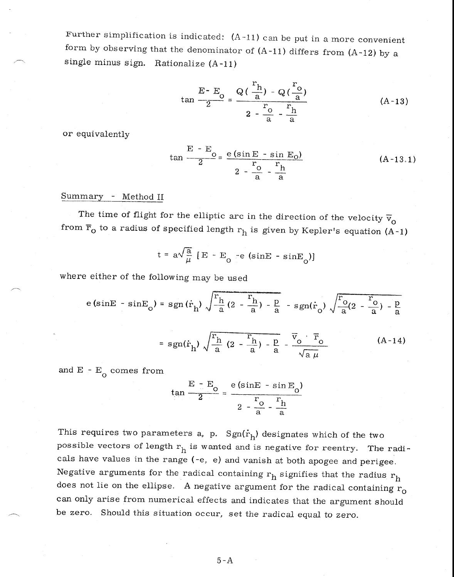Further simplification is indicated:  $(A-11)$  can be put in a more convenient form by observing that the denominator of  $(A-11)$  differs from  $(A-12)$  by a single minus sign. Rationalize (A-11)

$$
\tan \frac{E - E_0}{2} = \frac{Q(\frac{r_h}{a}) - Q(\frac{r_o}{a})}{2 - \frac{r_o}{a} - \frac{r_h}{a}}
$$
 (A-13)

or equivalently

$$
\tan \frac{E - E_0}{2} = \frac{e (\sin E - \sin E_0)}{2 - \frac{r_0}{a} - \frac{r_h}{a}}
$$
 (A-13.1)

# Summary - Method II

The time of flight for the elliptic arc in the direction of the velocity  $\bar{v}_o$ from  $\overline{r}_0$  to a radius of specified length  $r_h$  is given by Kepler's equation (A-1)

$$
t = a\sqrt{\frac{a}{\mu}} [E - E_0 - e (sinE - sinE_0)]
$$

where either of the following may be used

$$
e\left(\sin E - \sin E_0\right) = sgn\left(\dot{r}_h\right) \sqrt{\frac{r_h}{\frac{h}{a}\left(2 - \frac{r_h}{a}\right) - \frac{p}{a}} - sgn\left(\dot{r}_0\right) \sqrt{\frac{r_0}{a}\left(2 - \frac{r_0}{a}\right) - \frac{p}{a}}}
$$

$$
= sgn\left(\dot{r}_h\right) \sqrt{\frac{r_h}{a}\left(2 - \frac{r_h}{a}\right) - \frac{p}{a}} - \frac{\overline{v}_0 \cdot \overline{r}_0}{\sqrt{a\mu}} \qquad (A-14)
$$

and  $E - E_0$  comes from

$$
\tan \frac{E - E_0}{2} = \frac{e \left(\sin E - \sin E_0\right)}{2 - \frac{r_0}{a} - \frac{r_h}{a}}
$$

This requires two parameters a, p.  $Sgn(\dot{r}_h)$  designates which of the two possible vectors of length  $r_h$  is wanted and is negative for reentry. The radicals have values in the range (-e, e) and vanish at both apogee and perigee. Negative arguments for the radical containing  $r_h$  signifies that the radius  $r_h$ does not lie on the ellipse. A negative argument for the radical containing  $r_0$ can only arise from numerical effects and indicates that the argument should be zero. Should this situation occur, set the radical equal to zero.